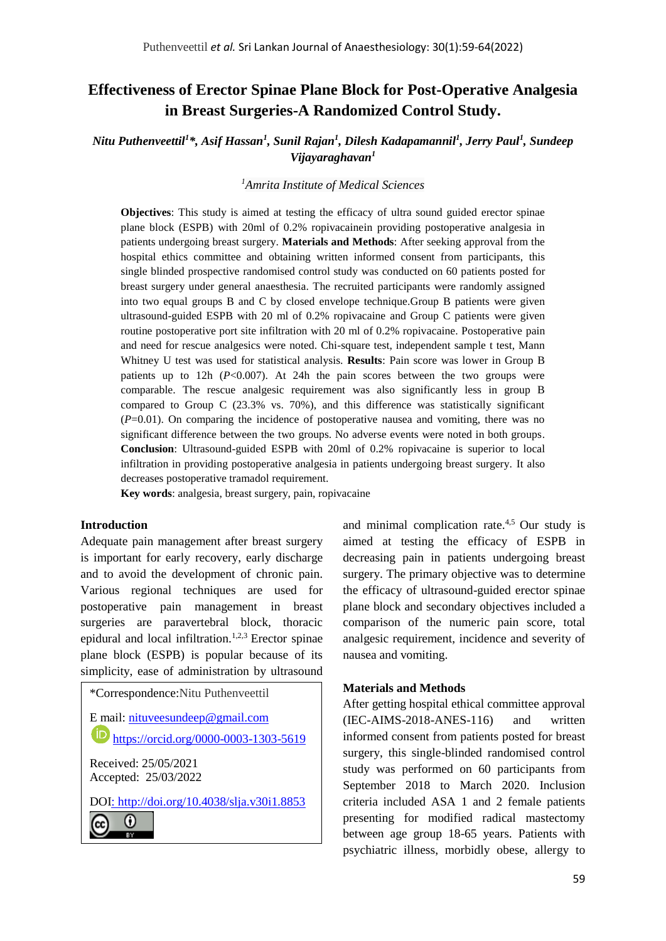# **Effectiveness of Erector Spinae Plane Block for Post-Operative Analgesia in Breast Surgeries-A Randomized Control Study.**

## *Nitu Puthenveettil<sup>1</sup> \*, Asif Hassan<sup>1</sup> , Sunil Rajan<sup>1</sup> , Dilesh Kadapamannil<sup>1</sup> , Jerry Paul<sup>1</sup> , Sundeep Vijayaraghavan<sup>1</sup>*

### *<sup>1</sup>Amrita Institute of Medical Sciences*

**Objectives**: This study is aimed at testing the efficacy of ultra sound guided erector spinae plane block (ESPB) with 20ml of 0.2% ropivacainein providing postoperative analgesia in patients undergoing breast surgery. **Materials and Methods**: After seeking approval from the hospital ethics committee and obtaining written informed consent from participants, this single blinded prospective randomised control study was conducted on 60 patients posted for breast surgery under general anaesthesia. The recruited participants were randomly assigned into two equal groups B and C by closed envelope technique.Group B patients were given ultrasound-guided ESPB with 20 ml of 0.2% ropivacaine and Group C patients were given routine postoperative port site infiltration with 20 ml of 0.2% ropivacaine. Postoperative pain and need for rescue analgesics were noted. Chi-square test, independent sample t test, Mann Whitney U test was used for statistical analysis. **Results**: Pain score was lower in Group B patients up to  $12h$   $(P<0.007)$ . At  $24h$  the pain scores between the two groups were comparable. The rescue analgesic requirement was also significantly less in group B compared to Group C (23.3% vs. 70%), and this difference was statistically significant (*P*=0.01). On comparing the incidence of postoperative nausea and vomiting, there was no significant difference between the two groups. No adverse events were noted in both groups. **Conclusion**: Ultrasound-guided ESPB with 20ml of 0.2% ropivacaine is superior to local infiltration in providing postoperative analgesia in patients undergoing breast surgery. It also decreases postoperative tramadol requirement.

**Key words**: analgesia, breast surgery, pain, ropivacaine

#### **Introduction**

Adequate pain management after breast surgery is important for early recovery, early discharge and to avoid the development of chronic pain. Various regional techniques are used for postoperative pain management in breast surgeries are paravertebral block, thoracic epidural and local infiltration.<sup>1,2,3</sup> Erector spinae plane block (ESPB) is popular because of its simplicity, ease of administration by ultrasound

\*Correspondence:Nitu Puthenveettil E mail: [nituveesundeep@gmail.com](mailto:nituveesundeep@gmail.com) **<https://orcid.org/0000-0003-1303-5619>** Received: 25/05/2021 Accepted: 25/03/2022 DOI:<http://doi.org/10.4038/slja.v30i1.8853> $_{\odot}$ 

and minimal complication rate.4,5 Our study is aimed at testing the efficacy of ESPB in decreasing pain in patients undergoing breast surgery. The primary objective was to determine the efficacy of ultrasound-guided erector spinae plane block and secondary objectives included a comparison of the numeric pain score, total analgesic requirement, incidence and severity of nausea and vomiting.

#### **Materials and Methods**

After getting hospital ethical committee approval (IEC-AIMS-2018-ANES-116) and written informed consent from patients posted for breast surgery, this single-blinded randomised control study was performed on 60 participants from September 2018 to March 2020. Inclusion criteria included ASA 1 and 2 female patients presenting for modified radical mastectomy between age group 18-65 years. Patients with psychiatric illness, morbidly obese, allergy to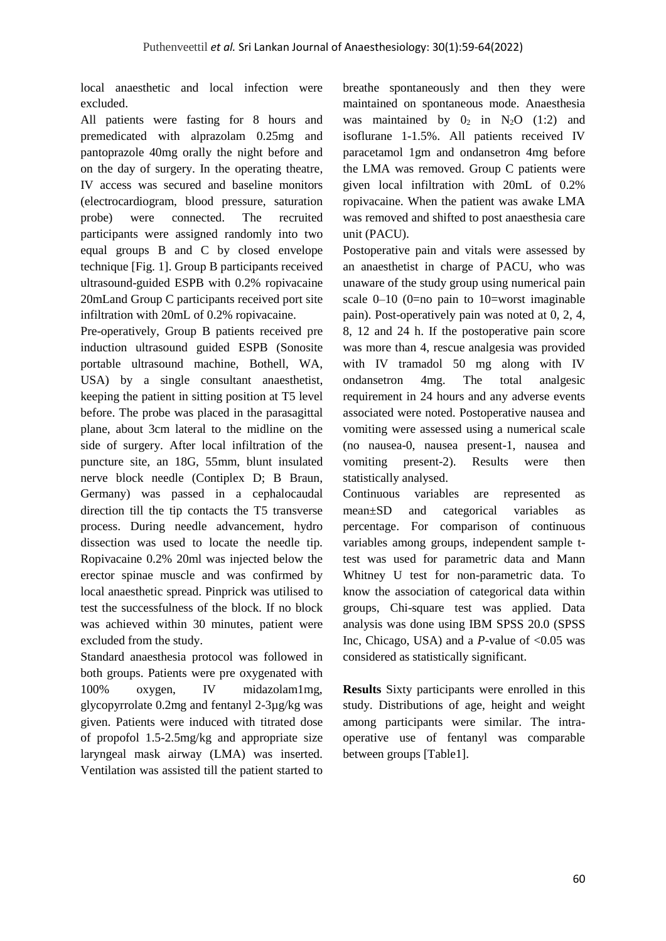local anaesthetic and local infection were excluded.

All patients were fasting for 8 hours and premedicated with alprazolam 0.25mg and pantoprazole 40mg orally the night before and on the day of surgery. In the operating theatre, IV access was secured and baseline monitors (electrocardiogram, blood pressure, saturation probe) were connected. The recruited participants were assigned randomly into two equal groups B and C by closed envelope technique [Fig. 1]. Group B participants received ultrasound-guided ESPB with 0.2% ropivacaine 20mLand Group C participants received port site infiltration with 20mL of 0.2% ropivacaine.

Pre-operatively, Group B patients received pre induction ultrasound guided ESPB (Sonosite portable ultrasound machine, Bothell, WA, USA) by a single consultant anaesthetist, keeping the patient in sitting position at T5 level before. The probe was placed in the parasagittal plane, about 3cm lateral to the midline on the side of surgery. After local infiltration of the puncture site, an 18G, 55mm, blunt insulated nerve block needle (Contiplex D; B Braun, Germany) was passed in a cephalocaudal direction till the tip contacts the T5 transverse process. During needle advancement, hydro dissection was used to locate the needle tip. Ropivacaine 0.2% 20ml was injected below the erector spinae muscle and was confirmed by local anaesthetic spread. Pinprick was utilised to test the successfulness of the block. If no block was achieved within 30 minutes, patient were excluded from the study.

Standard anaesthesia protocol was followed in both groups. Patients were pre oxygenated with 100% oxygen, IV midazolam1mg, glycopyrrolate 0.2mg and fentanyl 2-3µg/kg was given. Patients were induced with titrated dose of propofol 1.5-2.5mg/kg and appropriate size laryngeal mask airway (LMA) was inserted. Ventilation was assisted till the patient started to

breathe spontaneously and then they were maintained on spontaneous mode. Anaesthesia was maintained by  $0_2$  in N<sub>2</sub>O (1:2) and isoflurane 1-1.5%. All patients received IV paracetamol 1gm and ondansetron 4mg before the LMA was removed. Group C patients were given local infiltration with 20mL of 0.2% ropivacaine. When the patient was awake LMA was removed and shifted to post anaesthesia care unit (PACU).

Postoperative pain and vitals were assessed by an anaesthetist in charge of PACU, who was unaware of the study group using numerical pain scale 0–10 (0=no pain to 10=worst imaginable pain). Post-operatively pain was noted at 0, 2, 4, 8, 12 and 24 h. If the postoperative pain score was more than 4, rescue analgesia was provided with IV tramadol 50 mg along with IV ondansetron 4mg. The total analgesic requirement in 24 hours and any adverse events associated were noted. Postoperative nausea and vomiting were assessed using a numerical scale (no nausea-0, nausea present-1, nausea and vomiting present-2). Results were then statistically analysed.

Continuous variables are represented as mean±SD and categorical variables as percentage. For comparison of continuous variables among groups, independent sample ttest was used for parametric data and Mann Whitney U test for non-parametric data. To know the association of categorical data within groups, Chi-square test was applied. Data analysis was done using IBM SPSS 20.0 (SPSS Inc, Chicago, USA) and a *P*-value of <0.05 was considered as statistically significant.

**Results** Sixty participants were enrolled in this study. Distributions of age, height and weight among participants were similar. The intraoperative use of fentanyl was comparable between groups [Table1].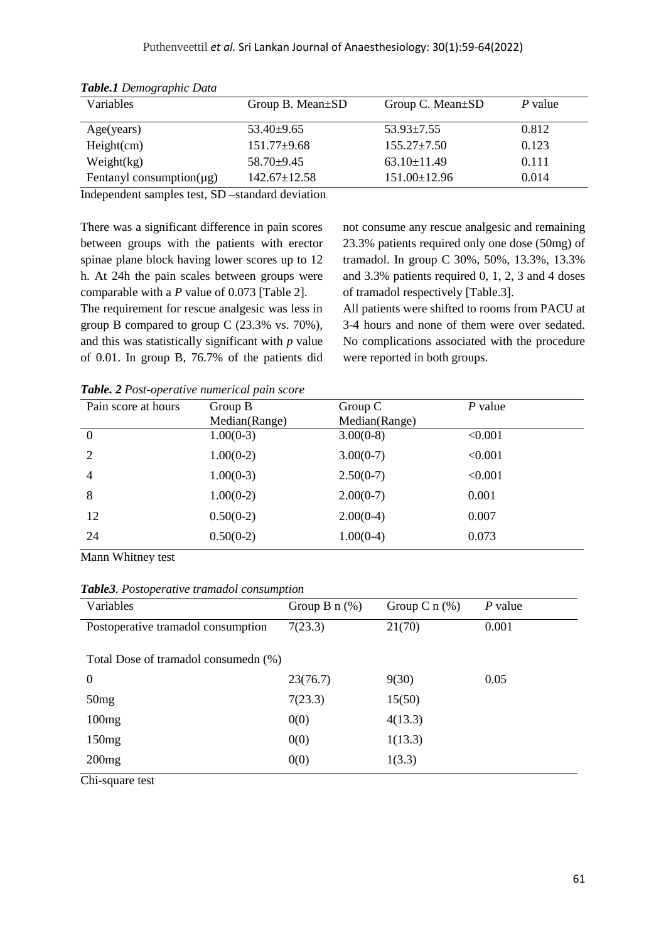| Variables                      | Group B. Mean $\pm$ SD | Group C. Mean±SD   | $P$ value |
|--------------------------------|------------------------|--------------------|-----------|
| Age(years)                     | $53.40\pm9.65$         | $53.93 \pm 7.55$   | 0.812     |
| Height(cm)                     | $151.77 \pm 9.68$      | $155.27 \pm 7.50$  | 0.123     |
| Weight(kg)                     | $58.70\pm9.45$         | $63.10 \pm 11.49$  | 0.111     |
| Fentanyl consumption( $\mu$ g) | $142.67 \pm 12.58$     | $151.00 \pm 12.96$ | 0.014     |

*Table.1 Demographic Data*

Independent samples test, SD –standard deviation

There was a significant difference in pain scores between groups with the patients with erector spinae plane block having lower scores up to 12 h. At 24h the pain scales between groups were comparable with a *P* value of 0.073 [Table 2]. The requirement for rescue analgesic was less in group B compared to group C (23.3% vs. 70%), and this was statistically significant with *p* value of 0.01. In group B, 76.7% of the patients did

not consume any rescue analgesic and remaining 23.3% patients required only one dose (50mg) of tramadol. In group C 30%, 50%, 13.3%, 13.3% and 3.3% patients required 0, 1, 2, 3 and 4 doses of tramadol respectively [Table.3].

All patients were shifted to rooms from PACU at 3-4 hours and none of them were over sedated. No complications associated with the procedure were reported in both groups.

*Table. 2 Post-operative numerical pain score*

| Pain score at hours | Group B<br>Median(Range) | Group $C$<br>Median(Range) | $P$ value |
|---------------------|--------------------------|----------------------------|-----------|
| $\boldsymbol{0}$    | $1.00(0-3)$              | $3.00(0-8)$                | < 0.001   |
| $\overline{2}$      | $1.00(0-2)$              | $3.00(0-7)$                | < 0.001   |
| 4                   | $1.00(0-3)$              | $2.50(0-7)$                | < 0.001   |
| 8                   | $1.00(0-2)$              | $2.00(0-7)$                | 0.001     |
| 12                  | $0.50(0-2)$              | $2.00(0-4)$                | 0.007     |
| 24                  | $0.50(0-2)$              | $1.00(0-4)$                | 0.073     |

Mann Whitney test

|  | Table3. Postoperative tramadol consumption |  |  |
|--|--------------------------------------------|--|--|
|--|--------------------------------------------|--|--|

| Variables                            | Group B $n$ (%) | Group C $n$ (%) | $P$ value |  |  |
|--------------------------------------|-----------------|-----------------|-----------|--|--|
| Postoperative tramadol consumption   | 7(23.3)         | 21(70)          | 0.001     |  |  |
| Total Dose of tramadol consumedn (%) |                 |                 |           |  |  |
| $\theta$                             | 23(76.7)        | 9(30)           | 0.05      |  |  |
| 50mg                                 | 7(23.3)         | 15(50)          |           |  |  |
| 100mg                                | 0(0)            | 4(13.3)         |           |  |  |
| 150mg                                | 0(0)            | 1(13.3)         |           |  |  |
| 200mg                                | 0(0)            | 1(3.3)          |           |  |  |

Chi-square test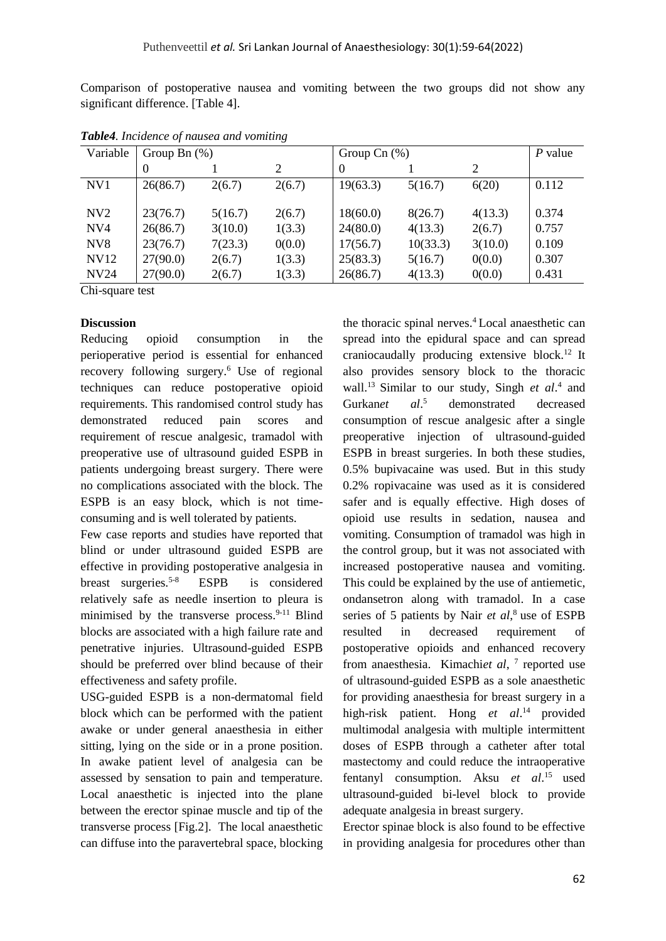Comparison of postoperative nausea and vomiting between the two groups did not show any significant difference. [Table 4].

| Variable         | Group Bn $(\%)$ |         |        | Group Cn $(\%)$ |          |         | $P$ value |
|------------------|-----------------|---------|--------|-----------------|----------|---------|-----------|
|                  |                 |         |        |                 |          | 2       |           |
| NV1              | 26(86.7)        | 2(6.7)  | 2(6.7) | 19(63.3)        | 5(16.7)  | 6(20)   | 0.112     |
| N <sub>V</sub> 2 | 23(76.7)        | 5(16.7) | 2(6.7) | 18(60.0)        | 8(26.7)  | 4(13.3) | 0.374     |
| NV4              | 26(86.7)        | 3(10.0) | 1(3.3) | 24(80.0)        | 4(13.3)  | 2(6.7)  | 0.757     |
| NV <sub>8</sub>  | 23(76.7)        | 7(23.3) | 0(0.0) | 17(56.7)        | 10(33.3) | 3(10.0) | 0.109     |
| <b>NV12</b>      | 27(90.0)        | 2(6.7)  | 1(3.3) | 25(83.3)        | 5(16.7)  | 0(0.0)  | 0.307     |
| <b>NV24</b>      | 27(90.0)        | 2(6.7)  | 1(3.3) | 26(86.7)        | 4(13.3)  | 0(0.0)  | 0.431     |

*Table4. Incidence of nausea and vomiting*

Chi-square test

## **Discussion**

Reducing opioid consumption in the perioperative period is essential for enhanced recovery following surgery.<sup>6</sup> Use of regional techniques can reduce postoperative opioid requirements. This randomised control study has demonstrated reduced pain scores and requirement of rescue analgesic, tramadol with preoperative use of ultrasound guided ESPB in patients undergoing breast surgery. There were no complications associated with the block. The ESPB is an easy block, which is not timeconsuming and is well tolerated by patients.

Few case reports and studies have reported that blind or under ultrasound guided ESPB are effective in providing postoperative analgesia in breast surgeries.5-8 ESPB is considered relatively safe as needle insertion to pleura is minimised by the transverse process. $9-11$  Blind blocks are associated with a high failure rate and penetrative injuries. Ultrasound-guided ESPB should be preferred over blind because of their effectiveness and safety profile.

USG-guided ESPB is a non-dermatomal field block which can be performed with the patient awake or under general anaesthesia in either sitting, lying on the side or in a prone position. In awake patient level of analgesia can be assessed by sensation to pain and temperature. Local anaesthetic is injected into the plane between the erector spinae muscle and tip of the transverse process [Fig.2]. The local anaesthetic can diffuse into the paravertebral space, blocking

the thoracic spinal nerves.<sup>4</sup> Local anaesthetic can spread into the epidural space and can spread craniocaudally producing extensive block. <sup>12</sup> It also provides sensory block to the thoracic wall.<sup>13</sup> Similar to our study, Singh *et al.*<sup>4</sup> and Gurkan*et al*. <sup>5</sup> demonstrated decreased consumption of rescue analgesic after a single preoperative injection of ultrasound-guided ESPB in breast surgeries. In both these studies, 0.5% bupivacaine was used. But in this study 0.2% ropivacaine was used as it is considered safer and is equally effective. High doses of opioid use results in sedation, nausea and vomiting. Consumption of tramadol was high in the control group, but it was not associated with increased postoperative nausea and vomiting. This could be explained by the use of antiemetic, ondansetron along with tramadol. In a case series of 5 patients by Nair *et al*, <sup>8</sup> use of ESPB resulted in decreased requirement of postoperative opioids and enhanced recovery from anaesthesia. Kimachi*et al*, 7 reported use of ultrasound-guided ESPB as a sole anaesthetic for providing anaesthesia for breast surgery in a high-risk patient. Hong *et al*. <sup>14</sup> provided multimodal analgesia with multiple intermittent doses of ESPB through a catheter after total mastectomy and could reduce the intraoperative fentanyl consumption. Aksu *et al*. <sup>15</sup> used ultrasound-guided bi-level block to provide adequate analgesia in breast surgery.

Erector spinae block is also found to be effective in providing analgesia for procedures other than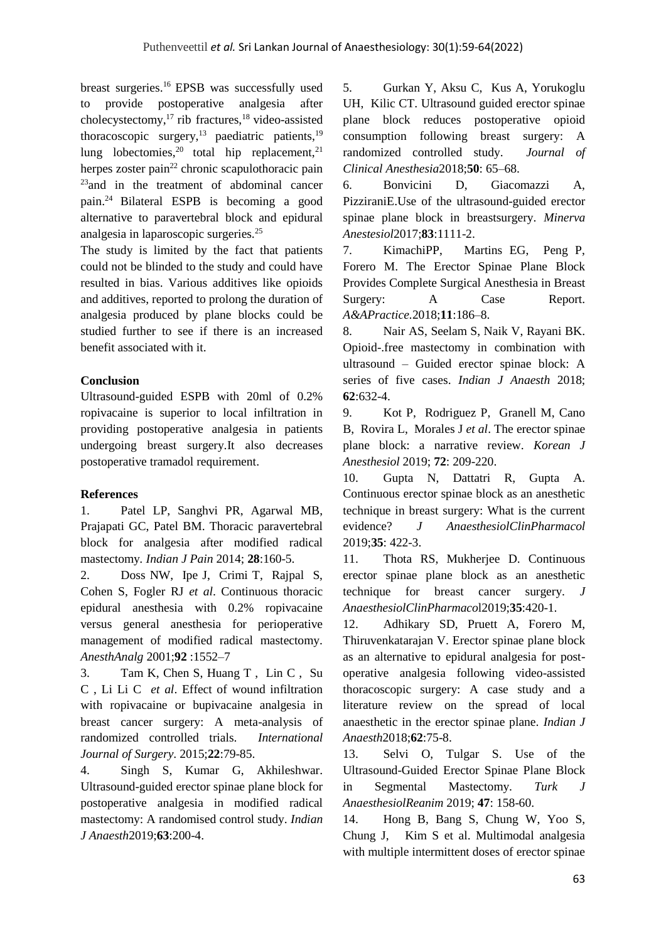breast surgeries.<sup>16</sup> EPSB was successfully used to provide postoperative analgesia after cholecystectomy, $^{17}$  rib fractures, $^{18}$  video-assisted thoracoscopic surgery,<sup>13</sup> paediatric patients, $19$ lung lobectomies,  $20$  total hip replacement,  $21$ herpes zoster pain<sup>22</sup> chronic scapulothoracic pain <sup>23</sup>and in the treatment of abdominal cancer pain.<sup>24</sup> Bilateral ESPB is becoming a good alternative to paravertebral block and epidural analgesia in laparoscopic surgeries.<sup>25</sup>

The study is limited by the fact that patients could not be blinded to the study and could have resulted in bias. Various additives like opioids and additives, reported to prolong the duration of analgesia produced by plane blocks could be studied further to see if there is an increased benefit associated with it.

## **Conclusion**

Ultrasound-guided ESPB with 20ml of 0.2% ropivacaine is superior to local infiltration in providing postoperative analgesia in patients undergoing breast surgery.It also decreases postoperative tramadol requirement.

### **References**

1. Patel LP, Sanghvi PR, Agarwal MB, Prajapati GC, Patel BM. Thoracic paravertebral block for analgesia after modified radical mastectomy*. Indian J Pain* 2014; **28**:160-5.

2. Doss NW, Ipe J, Crimi T, Rajpal S, Cohen S, Fogler RJ *et al*. Continuous thoracic epidural anesthesia with 0.2% ropivacaine versus general anesthesia for perioperative management of modified radical mastectomy. *AnesthAnalg* 2001;**92** :1552–7

3. Tam K, Chen S, Huang T , Lin C , Su C , Li Li C *et al*. Effect of wound infiltration with ropivacaine or bupivacaine analgesia in breast cancer surgery: A meta-analysis of randomized controlled trials. *International Journal of Surgery*. 2015;**22**:79-85.

4. Singh S, Kumar G, Akhileshwar. Ultrasound-guided erector spinae plane block for postoperative analgesia in modified radical mastectomy: A randomised control study. *Indian J Anaesth*2019;**63**:200-4.

5. Gurkan Y, Aksu C, Kus A, Yorukoglu UH, Kilic CT. Ultrasound guided erector spinae plane block reduces postoperative opioid consumption following breast surgery: A randomized controlled study. *Journal of Clinical Anesthesia*2018;**50**: 65–68.

6. Bonvicini D, Giacomazzi A, PizziraniE.Use of the ultrasound-guided erector spinae plane block in breastsurgery. *Minerva Anestesiol*2017;**83**:1111-2.

7. KimachiPP, Martins EG, Peng P, Forero M. The Erector Spinae Plane Block Provides Complete Surgical Anesthesia in Breast Surgery: A Case Report. *A&APractice.*2018;**11**:186–8.

8. Nair AS, Seelam S, Naik V, Rayani BK. Opioid-.free mastectomy in combination with ultrasound – Guided erector spinae block: A series of five cases. *Indian J Anaesth* 2018; **62**:632-4.

9. Kot P, Rodriguez P, Granell M, Cano B, Rovira L, Morales J *et al*. The erector spinae plane block: a narrative review. *Korean J Anesthesiol* 2019; **72**: 209-220.

10. Gupta N, Dattatri R, Gupta A. Continuous erector spinae block as an anesthetic technique in breast surgery: What is the current evidence? *J AnaesthesiolClinPharmacol* 2019;**35**: 422-3.

11. Thota RS, Mukherjee D. Continuous erector spinae plane block as an anesthetic technique for breast cancer surgery. *J AnaesthesiolClinPharmaco*l2019;**35**:420-1.

12. Adhikary SD, Pruett A, Forero M, Thiruvenkatarajan V. Erector spinae plane block as an alternative to epidural analgesia for postoperative analgesia following video-assisted thoracoscopic surgery: A case study and a literature review on the spread of local anaesthetic in the erector spinae plane. *Indian J Anaesth*2018;**62**:75-8.

13. Selvi O, Tulgar S. Use of the Ultrasound-Guided Erector Spinae Plane Block in Segmental Mastectomy. *Turk J AnaesthesiolReanim* 2019; **47**: 158-60.

14. Hong B, Bang S, Chung W, Yoo S, Chung J, Kim S et al. Multimodal analgesia with multiple intermittent doses of erector spinae